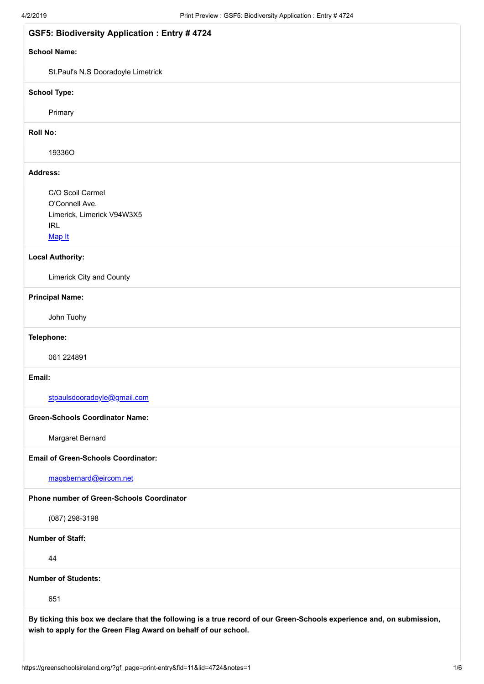| <b>GSF5: Biodiversity Application : Entry # 4724</b>                                                                                                                                      |  |
|-------------------------------------------------------------------------------------------------------------------------------------------------------------------------------------------|--|
| <b>School Name:</b>                                                                                                                                                                       |  |
| St.Paul's N.S Dooradoyle Limetrick                                                                                                                                                        |  |
| <b>School Type:</b>                                                                                                                                                                       |  |
| Primary                                                                                                                                                                                   |  |
| <b>Roll No:</b>                                                                                                                                                                           |  |
| 19336O                                                                                                                                                                                    |  |
| <b>Address:</b>                                                                                                                                                                           |  |
| C/O Scoil Carmel                                                                                                                                                                          |  |
| O'Connell Ave.<br>Limerick, Limerick V94W3X5                                                                                                                                              |  |
| <b>IRL</b>                                                                                                                                                                                |  |
| Map It                                                                                                                                                                                    |  |
| <b>Local Authority:</b>                                                                                                                                                                   |  |
| Limerick City and County                                                                                                                                                                  |  |
| <b>Principal Name:</b>                                                                                                                                                                    |  |
| John Tuohy                                                                                                                                                                                |  |
| Telephone:                                                                                                                                                                                |  |
| 061 224891                                                                                                                                                                                |  |
| Email:                                                                                                                                                                                    |  |
| stpaulsdooradoyle@gmail.com                                                                                                                                                               |  |
| <b>Green-Schools Coordinator Name:</b>                                                                                                                                                    |  |
| Margaret Bernard                                                                                                                                                                          |  |
| <b>Email of Green-Schools Coordinator:</b>                                                                                                                                                |  |
| magsbernard@eircom.net                                                                                                                                                                    |  |
| Phone number of Green-Schools Coordinator                                                                                                                                                 |  |
| $(087)$ 298-3198                                                                                                                                                                          |  |
| <b>Number of Staff:</b>                                                                                                                                                                   |  |
| 44                                                                                                                                                                                        |  |
| <b>Number of Students:</b>                                                                                                                                                                |  |
| 651                                                                                                                                                                                       |  |
| By ticking this box we declare that the following is a true record of our Green-Schools experience and, on submission,<br>wish to apply for the Green Flag Award on behalf of our school. |  |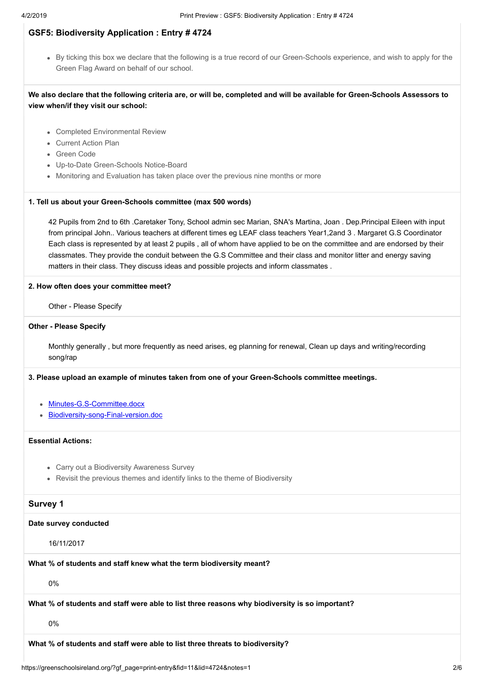By ticking this box we declare that the following is a true record of our Green-Schools experience, and wish to apply for the Green Flag Award on behalf of our school.

**We also declare that the following criteria are, or will be, completed and will be available for Green-Schools Assessors to view when/if they visit our school:**

- Completed Environmental Review
- Current Action Plan
- Green Code
- Up-to-Date Green-Schools Notice-Board
- Monitoring and Evaluation has taken place over the previous nine months or more

#### **1. Tell us about your Green-Schools committee (max 500 words)**

42 Pupils from 2nd to 6th .Caretaker Tony, School admin sec Marian, SNA's Martina, Joan . Dep.Principal Eileen with input from principal John.. Various teachers at different times eg LEAF class teachers Year1,2and 3 . Margaret G.S Coordinator Each class is represented by at least 2 pupils , all of whom have applied to be on the committee and are endorsed by their classmates. They provide the conduit between the G.S Committee and their class and monitor litter and energy saving matters in their class. They discuss ideas and possible projects and inform classmates .

#### **2. How often does your committee meet?**

Other - Please Specify

#### **Other - Please Specify**

Monthly generally , but more frequently as need arises, eg planning for renewal, Clean up days and writing/recording song/rap

**3. Please upload an example of minutes taken from one of your Green-Schools committee meetings.**

- [Minutes-G.S-Committee.docx](https://greenschoolsireland.org/index.php?gf-download=2019%2F03%2FMinutes-G.S-Committee.docx&form-id=11&field-id=118&hash=9ca0c28f1b755a212f3b1c9a5d75cf4b76bf4d14ec4bccb8a7f0f1e4ef9fb331)
- [Biodiversity-song-Final-version.doc](https://greenschoolsireland.org/index.php?gf-download=2019%2F03%2FBiodiversity-song-Final-version.doc&form-id=11&field-id=118&hash=1dd1f52548b0d2c5bcbddd6cc27757235e09f5ea0636a0872c39a670539ba8f9)

# **Essential Actions:**

- Carry out a Biodiversity Awareness Survey
- Revisit the previous themes and identify links to the theme of Biodiversity

## **Survey 1**

#### **Date survey conducted**

16/11/2017

**What % of students and staff knew what the term biodiversity meant?**

0%

**What % of students and staff were able to list three reasons why biodiversity is so important?**

0%

**What % of students and staff were able to list three threats to biodiversity?**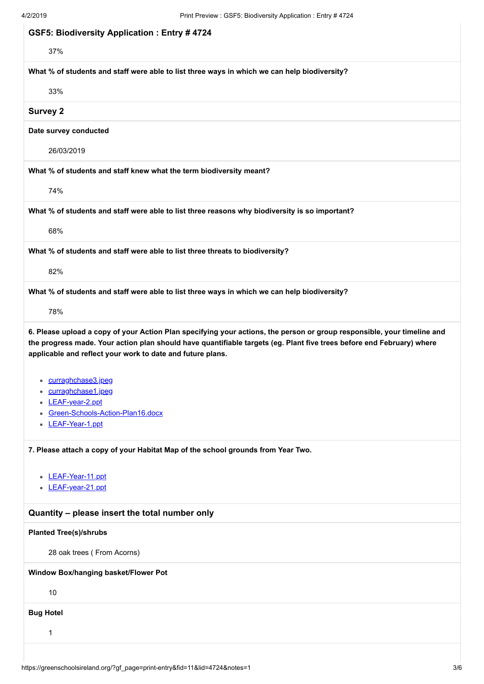| 4/2/2019                                           | Print Preview . GSPS. Diodiversity Application . Entry $#4724$                                                                                                                                                                                                                                                 |
|----------------------------------------------------|----------------------------------------------------------------------------------------------------------------------------------------------------------------------------------------------------------------------------------------------------------------------------------------------------------------|
| <b>GSF5: Biodiversity Application: Entry #4724</b> |                                                                                                                                                                                                                                                                                                                |
| 37%                                                |                                                                                                                                                                                                                                                                                                                |
|                                                    | What % of students and staff were able to list three ways in which we can help biodiversity?                                                                                                                                                                                                                   |
| 33%                                                |                                                                                                                                                                                                                                                                                                                |
| <b>Survey 2</b>                                    |                                                                                                                                                                                                                                                                                                                |
| Date survey conducted                              |                                                                                                                                                                                                                                                                                                                |
| 26/03/2019                                         |                                                                                                                                                                                                                                                                                                                |
|                                                    | What % of students and staff knew what the term biodiversity meant?                                                                                                                                                                                                                                            |
| 74%                                                |                                                                                                                                                                                                                                                                                                                |
|                                                    | What % of students and staff were able to list three reasons why biodiversity is so important?                                                                                                                                                                                                                 |
| 68%                                                |                                                                                                                                                                                                                                                                                                                |
|                                                    | What % of students and staff were able to list three threats to biodiversity?                                                                                                                                                                                                                                  |
| 82%                                                |                                                                                                                                                                                                                                                                                                                |
|                                                    | What % of students and staff were able to list three ways in which we can help biodiversity?                                                                                                                                                                                                                   |
| 78%                                                |                                                                                                                                                                                                                                                                                                                |
| • curraghchase3.jpeg                               | 6. Please upload a copy of your Action Plan specifying your actions, the person or group responsible, your timeline and<br>the progress made. Your action plan should have quantifiable targets (eg. Plant five trees before end February) where<br>applicable and reflect your work to date and future plans. |
| curraghchase1.jpeg<br>LEAF-year-2.ppt              |                                                                                                                                                                                                                                                                                                                |
| Green-Schools-Action-Plan16.docx                   |                                                                                                                                                                                                                                                                                                                |
| LEAF-Year-1.ppt                                    |                                                                                                                                                                                                                                                                                                                |
|                                                    | 7. Please attach a copy of your Habitat Map of the school grounds from Year Two.                                                                                                                                                                                                                               |
| LEAF-Year-11.ppt<br>• LEAF-year-21.ppt             |                                                                                                                                                                                                                                                                                                                |
| Quantity - please insert the total number only     |                                                                                                                                                                                                                                                                                                                |
| <b>Planted Tree(s)/shrubs</b>                      |                                                                                                                                                                                                                                                                                                                |
| 28 oak trees (From Acorns)                         |                                                                                                                                                                                                                                                                                                                |
| Window Box/hanging basket/Flower Pot               |                                                                                                                                                                                                                                                                                                                |
| 10                                                 |                                                                                                                                                                                                                                                                                                                |
|                                                    |                                                                                                                                                                                                                                                                                                                |
| <b>Bug Hotel</b>                                   |                                                                                                                                                                                                                                                                                                                |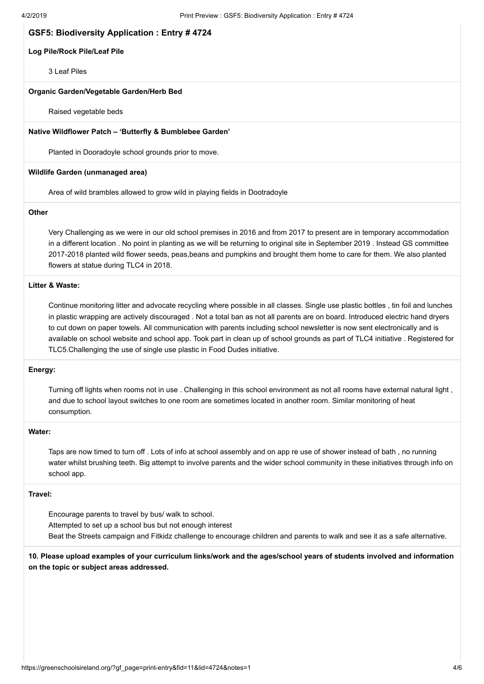#### **Log Pile/Rock Pile/Leaf Pile**

3 Leaf Piles

#### **Organic Garden/Vegetable Garden/Herb Bed**

Raised vegetable beds

#### **Native Wildflower Patch – 'Butterfly & Bumblebee Garden'**

Planted in Dooradoyle school grounds prior to move.

#### **Wildlife Garden (unmanaged area)**

Area of wild brambles allowed to grow wild in playing fields in Dootradoyle

## **Other**

Very Challenging as we were in our old school premises in 2016 and from 2017 to present are in temporary accommodation in a different location . No point in planting as we will be returning to original site in September 2019 . Instead GS committee 2017-2018 planted wild flower seeds, peas,beans and pumpkins and brought them home to care for them. We also planted flowers at statue during TLC4 in 2018.

## **Litter & Waste:**

Continue monitoring litter and advocate recycling where possible in all classes. Single use plastic bottles , tin foil and lunches in plastic wrapping are actively discouraged . Not a total ban as not all parents are on board. Introduced electric hand dryers to cut down on paper towels. All communication with parents including school newsletter is now sent electronically and is available on school website and school app. Took part in clean up of school grounds as part of TLC4 initiative . Registered for TLC5.Challenging the use of single use plastic in Food Dudes initiative.

#### **Energy:**

Turning off lights when rooms not in use . Challenging in this school environment as not all rooms have external natural light , and due to school layout switches to one room are sometimes located in another room. Similar monitoring of heat consumption.

#### **Water:**

Taps are now timed to turn off . Lots of info at school assembly and on app re use of shower instead of bath , no running water whilst brushing teeth. Big attempt to involve parents and the wider school community in these initiatives through info on school app.

### **Travel:**

Encourage parents to travel by bus/ walk to school. Attempted to set up a school bus but not enough interest Beat the Streets campaign and Fitkidz challenge to encourage children and parents to walk and see it as a safe alternative.

**10. Please upload examples of your curriculum links/work and the ages/school years of students involved and information on the topic or subject areas addressed.**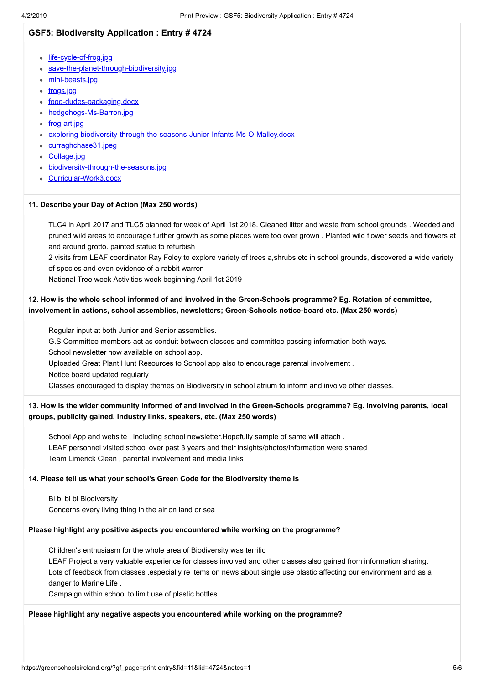- [life-cycle-of-frog.jpg](https://greenschoolsireland.org/index.php?gf-download=2019%2F03%2Flife-cycle-of-frog.jpg&form-id=11&field-id=122&hash=6bbb032eacd60c18e15c7a70c22476c33a4b983689ce61d95333d34acbfc5ca1)
- [save-the-planet-through-biodiversity.jpg](https://greenschoolsireland.org/index.php?gf-download=2019%2F03%2Fsave-the-planet-through-biodiversity.jpg&form-id=11&field-id=122&hash=64dca1066b3f18bb2892fbe5443978a9928b026f853d339ddccb4cb265228b6f)
- [mini-beasts.jpg](https://greenschoolsireland.org/index.php?gf-download=2019%2F03%2Fmini-beasts.jpg&form-id=11&field-id=122&hash=71afc8d72af732ff90954453c5d44367793c49a55a33f42318ae8a50f2f0fa1d)
- <u>[frogs.jpg](https://greenschoolsireland.org/index.php?gf-download=2019%2F03%2Ffrogs.jpg&form-id=11&field-id=122&hash=6a49c8f515a366cb81aaabe234b106163e780a382a3e1ae589b99947cb25f8d4)</u>
- [food-dudes-packaging.docx](https://greenschoolsireland.org/index.php?gf-download=2019%2F03%2Ffood-dudes-packaging.docx&form-id=11&field-id=122&hash=fceef9e43db46ec221341cab9eab4fb8b0125121cfc295e8abdb209c349c2a44)
- [hedgehogs-Ms-Barron.jpg](https://greenschoolsireland.org/index.php?gf-download=2019%2F03%2Fhedgehogs-Ms-Barron.jpg&form-id=11&field-id=122&hash=3b572dad5ea71c8c0c0a0d34c4e0607dac6174f23486b937621949aae4b4150c)
- [frog-art.jpg](https://greenschoolsireland.org/index.php?gf-download=2019%2F03%2Ffrog-art.jpg&form-id=11&field-id=122&hash=85b1d78e1ce554bea1ac26657150a4572cc4c8a99bc19d7a57739300f606f489)
- [exploring-biodiversity-through-the-seasons-Junior-Infants-Ms-O-Malley.docx](https://greenschoolsireland.org/index.php?gf-download=2019%2F03%2Fexploring-biodiversity-through-the-seasons-Junior-Infants-Ms-O-Malley.docx&form-id=11&field-id=122&hash=bae7ab9fdbf14c895164a7d29efafd5a734e793945eb9cf2d50defad4ac7c443)
- [curraghchase31.jpeg](https://greenschoolsireland.org/index.php?gf-download=2019%2F03%2Fcurraghchase31.jpeg&form-id=11&field-id=122&hash=977b6660400adecddf32b4bd34249e5759a9d120bbff240870d310737c49dfab)
- [Collage.jpg](https://greenschoolsireland.org/index.php?gf-download=2019%2F03%2FCollage.jpg&form-id=11&field-id=122&hash=4e224ee90bd6f49ec2b1df78e419ce26da33b48708acd8534bc2ca8494590b1e)
- [biodiversity-through-the-seasons.jpg](https://greenschoolsireland.org/index.php?gf-download=2019%2F03%2Fbiodiversity-through-the-seasons.jpg&form-id=11&field-id=122&hash=029ed6ae785ce87bf275d3775820a187117e57d585344dfb9654e1980c948ed4)
- [Curricular-Work3.docx](https://greenschoolsireland.org/index.php?gf-download=2019%2F03%2FCurricular-Work3.docx&form-id=11&field-id=122&hash=cab6af18100fcb1df0bbd540fc5e80ed6475551caec511f4aaa4b3e327ad9368)

#### **11. Describe your Day of Action (Max 250 words)**

TLC4 in April 2017 and TLC5 planned for week of April 1st 2018. Cleaned litter and waste from school grounds . Weeded and pruned wild areas to encourage further growth as some places were too over grown . Planted wild flower seeds and flowers at and around grotto. painted statue to refurbish .

2 visits from LEAF coordinator Ray Foley to explore variety of trees a,shrubs etc in school grounds, discovered a wide variety of species and even evidence of a rabbit warren

National Tree week Activities week beginning April 1st 2019

## **12. How is the whole school informed of and involved in the Green-Schools programme? Eg. Rotation of committee, involvement in actions, school assemblies, newsletters; Green-Schools notice-board etc. (Max 250 words)**

Regular input at both Junior and Senior assemblies.

G.S Committee members act as conduit between classes and committee passing information both ways. School newsletter now available on school app.

Uploaded Great Plant Hunt Resources to School app also to encourage parental involvement .

Notice board updated regularly

Classes encouraged to display themes on Biodiversity in school atrium to inform and involve other classes.

## **13. How is the wider community informed of and involved in the Green-Schools programme? Eg. involving parents, local groups, publicity gained, industry links, speakers, etc. (Max 250 words)**

School App and website , including school newsletter.Hopefully sample of same will attach . LEAF personnel visited school over past 3 years and their insights/photos/information were shared Team Limerick Clean , parental involvement and media links

## **14. Please tell us what your school's Green Code for the Biodiversity theme is**

Bi bi bi bi Biodiversity Concerns every living thing in the air on land or sea

#### **Please highlight any positive aspects you encountered while working on the programme?**

Children's enthusiasm for the whole area of Biodiversity was terrific

LEAF Project a very valuable experience for classes involved and other classes also gained from information sharing. Lots of feedback from classes ,especially re items on news about single use plastic affecting our environment and as a danger to Marine Life .

Campaign within school to limit use of plastic bottles

#### **Please highlight any negative aspects you encountered while working on the programme?**